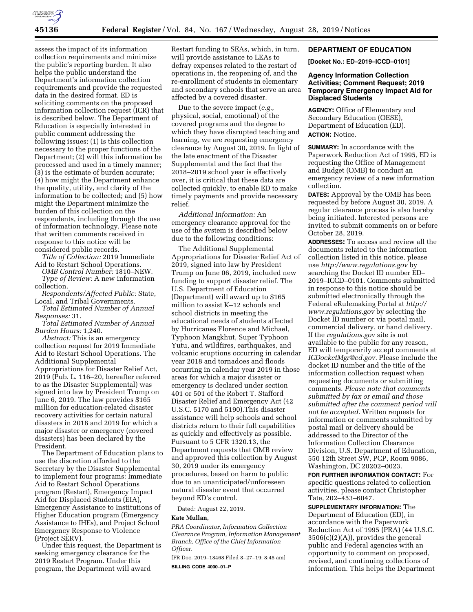

assess the impact of its information collection requirements and minimize the public's reporting burden. It also helps the public understand the Department's information collection requirements and provide the requested data in the desired format. ED is soliciting comments on the proposed information collection request (ICR) that is described below. The Department of Education is especially interested in public comment addressing the following issues: (1) Is this collection necessary to the proper functions of the Department; (2) will this information be processed and used in a timely manner; (3) is the estimate of burden accurate; (4) how might the Department enhance the quality, utility, and clarity of the information to be collected; and (5) how might the Department minimize the burden of this collection on the respondents, including through the use of information technology. Please note that written comments received in response to this notice will be considered public records.

*Title of Collection:* 2019 Immediate Aid to Restart School Operations.

*OMB Control Number:* 1810–NEW. *Type of Review:* A new information collection.

*Respondents/Affected Public:* State, Local, and Tribal Governments.

*Total Estimated Number of Annual Responses:* 31.

*Total Estimated Number of Annual Burden Hours:* 1,240.

*Abstract:* This is an emergency collection request for 2019 Immediate Aid to Restart School Operations. The Additional Supplemental Appropriations for Disaster Relief Act, 2019 (Pub. L. 116–20, hereafter referred to as the Disaster Supplemental) was signed into law by President Trump on June 6, 2019. The law provides \$165 million for education-related disaster recovery activities for certain natural disasters in 2018 and 2019 for which a major disaster or emergency (covered disasters) has been declared by the President.

The Department of Education plans to use the discretion afforded to the Secretary by the Disaster Supplemental to implement four programs: Immediate Aid to Restart School Operations program (Restart), Emergency Impact Aid for Displaced Students (EIA), Emergency Assistance to Institutions of Higher Education program (Emergency Assistance to IHEs), and Project School Emergency Response to Violence (Project SERV).

Under this request, the Department is seeking emergency clearance for the 2019 Restart Program. Under this program, the Department will award

Restart funding to SEAs, which, in turn, will provide assistance to LEAs to defray expenses related to the restart of operations in, the reopening of, and the re-enrollment of students in elementary and secondary schools that serve an area affected by a covered disaster.

Due to the severe impact (*e.g.,*  physical, social, emotional) of the covered programs and the degree to which they have disrupted teaching and learning, we are requesting emergency clearance by August 30, 2019. In light of the late enactment of the Disaster Supplemental and the fact that the 2018–2019 school year is effectively over, it is critical that these data are collected quickly, to enable ED to make timely payments and provide necessary relief.

*Additional Information:* An emergency clearance approval for the use of the system is described below due to the following conditions:

The Additional Supplemental Appropriations for Disaster Relief Act of 2019, signed into law by President Trump on June 06, 2019, included new funding to support disaster relief. The U.S. Department of Education (Department) will award up to \$165 million to assist K–12 schools and school districts in meeting the educational needs of students affected by Hurricanes Florence and Michael, Typhoon Mangkhut, Super Typhoon Yutu, and wildfires, earthquakes, and volcanic eruptions occurring in calendar year 2018 and tornadoes and floods occurring in calendar year 2019 in those areas for which a major disaster or emergency is declared under section 401 or 501 of the Robert T. Stafford Disaster Relief and Emergency Act (42 U.S.C. 5170 and 5190).This disaster assistance will help schools and school districts return to their full capabilities as quickly and effectively as possible. Pursuant to 5 CFR 1320.13, the Department requests that OMB review and approved this collection by August 30, 2019 under its emergency procedures, based on harm to public due to an unanticipated/unforeseen natural disaster event that occurred beyond ED's control.

Dated: August 22, 2019.

## **Kate Mullan,**

*PRA Coordinator, Information Collection Clearance Program, Information Management Branch, Office of the Chief Information Officer.* 

[FR Doc. 2019–18468 Filed 8–27–19; 8:45 am] **BILLING CODE 4000–01–P** 

#### **DEPARTMENT OF EDUCATION**

**[Docket No.: ED–2019–ICCD–0101]** 

# **Agency Information Collection Activities; Comment Request; 2019 Temporary Emergency Impact Aid for Displaced Students**

**AGENCY:** Office of Elementary and Secondary Education (OESE), Department of Education (ED). **ACTION:** Notice.

**SUMMARY:** In accordance with the Paperwork Reduction Act of 1995, ED is requesting the Office of Management and Budget (OMB) to conduct an emergency review of a new information collection.

**DATES:** Approval by the OMB has been requested by before August 30, 2019. A regular clearance process is also hereby being initiated. Interested persons are invited to submit comments on or before October 28, 2019.

**ADDRESSES:** To access and review all the documents related to the information collection listed in this notice, please use *<http://www.regulations.gov>*by searching the Docket ID number ED– 2019–ICCD–0101. Comments submitted in response to this notice should be submitted electronically through the Federal eRulemaking Portal at *[http://](http://www.regulations.gov) [www.regulations.gov](http://www.regulations.gov)* by selecting the Docket ID number or via postal mail, commercial delivery, or hand delivery. If the *regulations.gov* site is not available to the public for any reason, ED will temporarily accept comments at *[ICDocketMgr@ed.gov.](mailto:ICDocketMgr@ed.gov)* Please include the docket ID number and the title of the information collection request when requesting documents or submitting comments. *Please note that comments submitted by fax or email and those submitted after the comment period will not be accepted.* Written requests for information or comments submitted by postal mail or delivery should be addressed to the Director of the Information Collection Clearance Division, U.S. Department of Education, 550 12th Street SW, PCP, Room 9086, Washington, DC 20202–0023.

**FOR FURTHER INFORMATION CONTACT:** For specific questions related to collection activities, please contact Christopher Tate, 202–453–6047.

**SUPPLEMENTARY INFORMATION:** The Department of Education (ED), in accordance with the Paperwork Reduction Act of 1995 (PRA) (44 U.S.C. 3506(c)(2)(A)), provides the general public and Federal agencies with an opportunity to comment on proposed, revised, and continuing collections of information. This helps the Department